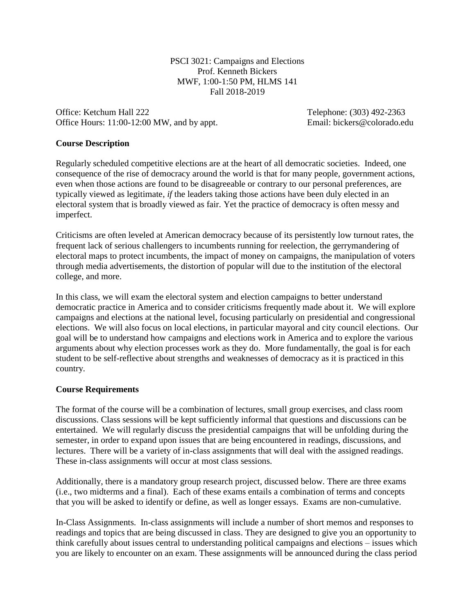PSCI 3021: Campaigns and Elections Prof. Kenneth Bickers MWF, 1:00-1:50 PM, HLMS 141 Fall 2018-2019

Office: Ketchum Hall 222 Telephone: (303) 492-2363 Office Hours: 11:00-12:00 MW, and by appt. Email: bickers@colorado.edu

### **Course Description**

Regularly scheduled competitive elections are at the heart of all democratic societies. Indeed, one consequence of the rise of democracy around the world is that for many people, government actions, even when those actions are found to be disagreeable or contrary to our personal preferences, are typically viewed as legitimate, *if* the leaders taking those actions have been duly elected in an electoral system that is broadly viewed as fair. Yet the practice of democracy is often messy and imperfect.

Criticisms are often leveled at American democracy because of its persistently low turnout rates, the frequent lack of serious challengers to incumbents running for reelection, the gerrymandering of electoral maps to protect incumbents, the impact of money on campaigns, the manipulation of voters through media advertisements, the distortion of popular will due to the institution of the electoral college, and more.

In this class, we will exam the electoral system and election campaigns to better understand democratic practice in America and to consider criticisms frequently made about it. We will explore campaigns and elections at the national level, focusing particularly on presidential and congressional elections. We will also focus on local elections, in particular mayoral and city council elections. Our goal will be to understand how campaigns and elections work in America and to explore the various arguments about why election processes work as they do. More fundamentally, the goal is for each student to be self-reflective about strengths and weaknesses of democracy as it is practiced in this country.

### **Course Requirements**

The format of the course will be a combination of lectures, small group exercises, and class room discussions. Class sessions will be kept sufficiently informal that questions and discussions can be entertained. We will regularly discuss the presidential campaigns that will be unfolding during the semester, in order to expand upon issues that are being encountered in readings, discussions, and lectures. There will be a variety of in-class assignments that will deal with the assigned readings. These in-class assignments will occur at most class sessions.

Additionally, there is a mandatory group research project, discussed below. There are three exams (i.e., two midterms and a final). Each of these exams entails a combination of terms and concepts that you will be asked to identify or define, as well as longer essays. Exams are non-cumulative.

In-Class Assignments. In-class assignments will include a number of short memos and responses to readings and topics that are being discussed in class. They are designed to give you an opportunity to think carefully about issues central to understanding political campaigns and elections – issues which you are likely to encounter on an exam. These assignments will be announced during the class period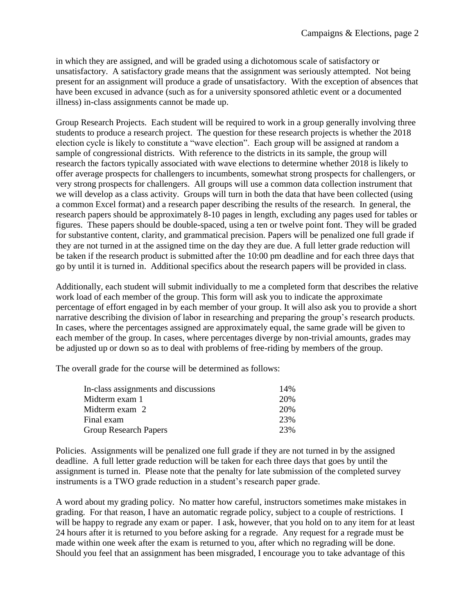in which they are assigned, and will be graded using a dichotomous scale of satisfactory or unsatisfactory. A satisfactory grade means that the assignment was seriously attempted. Not being present for an assignment will produce a grade of unsatisfactory. With the exception of absences that have been excused in advance (such as for a university sponsored athletic event or a documented illness) in-class assignments cannot be made up.

Group Research Projects. Each student will be required to work in a group generally involving three students to produce a research project. The question for these research projects is whether the 2018 election cycle is likely to constitute a "wave election". Each group will be assigned at random a sample of congressional districts. With reference to the districts in its sample, the group will research the factors typically associated with wave elections to determine whether 2018 is likely to offer average prospects for challengers to incumbents, somewhat strong prospects for challengers, or very strong prospects for challengers. All groups will use a common data collection instrument that we will develop as a class activity. Groups will turn in both the data that have been collected (using a common Excel format) and a research paper describing the results of the research. In general, the research papers should be approximately 8-10 pages in length, excluding any pages used for tables or figures. These papers should be double-spaced, using a ten or twelve point font. They will be graded for substantive content, clarity, and grammatical precision. Papers will be penalized one full grade if they are not turned in at the assigned time on the day they are due. A full letter grade reduction will be taken if the research product is submitted after the 10:00 pm deadline and for each three days that go by until it is turned in. Additional specifics about the research papers will be provided in class.

Additionally, each student will submit individually to me a completed form that describes the relative work load of each member of the group. This form will ask you to indicate the approximate percentage of effort engaged in by each member of your group. It will also ask you to provide a short narrative describing the division of labor in researching and preparing the group's research products. In cases, where the percentages assigned are approximately equal, the same grade will be given to each member of the group. In cases, where percentages diverge by non-trivial amounts, grades may be adjusted up or down so as to deal with problems of free-riding by members of the group.

The overall grade for the course will be determined as follows:

| In-class assignments and discussions | 14% |
|--------------------------------------|-----|
| Midterm exam 1                       | 20% |
| Midterm exam 2                       | 20% |
| Final exam                           | 23% |
| <b>Group Research Papers</b>         | 23% |
|                                      |     |

Policies. Assignments will be penalized one full grade if they are not turned in by the assigned deadline. A full letter grade reduction will be taken for each three days that goes by until the assignment is turned in. Please note that the penalty for late submission of the completed survey instruments is a TWO grade reduction in a student's research paper grade.

A word about my grading policy. No matter how careful, instructors sometimes make mistakes in grading. For that reason, I have an automatic regrade policy, subject to a couple of restrictions. I will be happy to regrade any exam or paper. I ask, however, that you hold on to any item for at least 24 hours after it is returned to you before asking for a regrade. Any request for a regrade must be made within one week after the exam is returned to you, after which no regrading will be done. Should you feel that an assignment has been misgraded, I encourage you to take advantage of this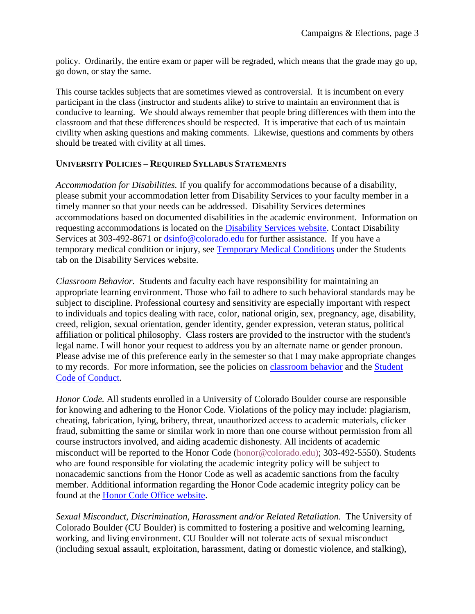policy. Ordinarily, the entire exam or paper will be regraded, which means that the grade may go up, go down, or stay the same.

This course tackles subjects that are sometimes viewed as controversial. It is incumbent on every participant in the class (instructor and students alike) to strive to maintain an environment that is conducive to learning. We should always remember that people bring differences with them into the classroom and that these differences should be respected. It is imperative that each of us maintain civility when asking questions and making comments. Likewise, questions and comments by others should be treated with civility at all times.

## **UNIVERSITY POLICIES – REQUIRED SYLLABUS STATEMENTS**

*Accommodation for Disabilities.* If you qualify for accommodations because of a disability, please submit your accommodation letter from Disability Services to your faculty member in a timely manner so that your needs can be addressed. Disability Services determines accommodations based on documented disabilities in the academic environment. Information on requesting accommodations is located on the [Disability Services website.](http://www.colorado.edu/disabilityservices/students) Contact Disability Services at 303-492-8671 or [dsinfo@colorado.edu](mailto:dsinfo@colorado.edu) for further assistance. If you have a temporary medical condition or injury, see [Temporary Medical Conditions](http://www.colorado.edu/disabilityservices/students/temporary-medical-conditions) under the Students tab on the Disability Services website.

*Classroom Behavior.* Students and faculty each have responsibility for maintaining an appropriate learning environment. Those who fail to adhere to such behavioral standards may be subject to discipline. Professional courtesy and sensitivity are especially important with respect to individuals and topics dealing with race, color, national origin, sex, pregnancy, age, disability, creed, religion, sexual orientation, gender identity, gender expression, veteran status, political affiliation or political philosophy. Class rosters are provided to the instructor with the student's legal name. I will honor your request to address you by an alternate name or gender pronoun. Please advise me of this preference early in the semester so that I may make appropriate changes to my records. For more information, see the policies on [classroom behavior](http://www.colorado.edu/policies/student-classroom-and-course-related-behavior) and the [Student](http://www.colorado.edu/osccr/)  [Code of Conduct.](http://www.colorado.edu/osccr/)

*Honor Code.* All students enrolled in a University of Colorado Boulder course are responsible for knowing and adhering to the Honor Code. Violations of the policy may include: plagiarism, cheating, fabrication, lying, bribery, threat, unauthorized access to academic materials, clicker fraud, submitting the same or similar work in more than one course without permission from all course instructors involved, and aiding academic dishonesty. All incidents of academic misconduct will be reported to the Honor Code [\(honor@colorado.edu\)](mailto:honor@colorado.edu); 303-492-5550). Students who are found responsible for violating the academic integrity policy will be subject to nonacademic sanctions from the Honor Code as well as academic sanctions from the faculty member. Additional information regarding the Honor Code academic integrity policy can be found at the [Honor Code Office website.](https://www.colorado.edu/osccr/honor-code)

*Sexual Misconduct, Discrimination, Harassment and/or Related Retaliation.* The University of Colorado Boulder (CU Boulder) is committed to fostering a positive and welcoming learning, working, and living environment. CU Boulder will not tolerate acts of sexual misconduct (including sexual assault, exploitation, harassment, dating or domestic violence, and stalking),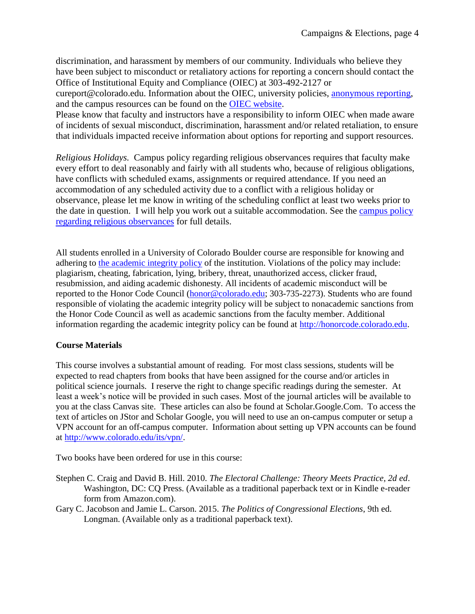discrimination, and harassment by members of our community. Individuals who believe they have been subject to misconduct or retaliatory actions for reporting a concern should contact the Office of Institutional Equity and Compliance (OIEC) at 303-492-2127 or

cureport@colorado.edu. Information about the OIEC, university policies, [anonymous reporting,](https://cuboulder.qualtrics.com/jfe/form/SV_0PnqVK4kkIJIZnf) and the campus resources can be found on the [OIEC website.](http://www.colorado.edu/institutionalequity/)

Please know that faculty and instructors have a responsibility to inform OIEC when made aware of incidents of sexual misconduct, discrimination, harassment and/or related retaliation, to ensure that individuals impacted receive information about options for reporting and support resources.

*Religious Holidays.* Campus policy regarding religious observances requires that faculty make every effort to deal reasonably and fairly with all students who, because of religious obligations, have conflicts with scheduled exams, assignments or required attendance. If you need an accommodation of any scheduled activity due to a conflict with a religious holiday or observance, please let me know in writing of the scheduling conflict at least two weeks prior to the date in question. I will help you work out a suitable accommodation. See the [campus policy](http://www.colorado.edu/policies/observance-religious-holidays-and-absences-classes-andor-exams)  [regarding religious observances](http://www.colorado.edu/policies/observance-religious-holidays-and-absences-classes-andor-exams) for full details.

All students enrolled in a University of Colorado Boulder course are responsible for knowing and adhering to [the academic integrity policy](http://www.alumniconnections.com/links/link.cgi?l=6835160&h=136804&e=UCBI-20151203180101) of the institution. Violations of the policy may include: plagiarism, cheating, fabrication, lying, bribery, threat, unauthorized access, clicker fraud, resubmission, and aiding academic dishonesty. All incidents of academic misconduct will be reported to the Honor Code Council [\(honor@colorado.edu;](mailto:honor@colorado.edu) 303-735-2273). Students who are found responsible of violating the academic integrity policy will be subject to nonacademic sanctions from the Honor Code Council as well as academic sanctions from the faculty member. Additional information regarding the academic integrity policy can be found at [http://honorcode.colorado.edu.](http://www.alumniconnections.com/links/link.cgi?l=6835161&h=136804&e=UCBI-20151203180101)

# **Course Materials**

This course involves a substantial amount of reading. For most class sessions, students will be expected to read chapters from books that have been assigned for the course and/or articles in political science journals. I reserve the right to change specific readings during the semester. At least a week's notice will be provided in such cases. Most of the journal articles will be available to you at the class Canvas site. These articles can also be found at Scholar.Google.Com. To access the text of articles on JStor and Scholar Google, you will need to use an on-campus computer or setup a VPN account for an off-campus computer. Information about setting up VPN accounts can be found at [http://www.colorado.edu/its/vpn/.](http://www.colorado.edu/its/vpn/)

Two books have been ordered for use in this course:

- Stephen C. Craig and David B. Hill. 2010. *The Electoral Challenge: Theory Meets Practice, 2d ed*. Washington, DC: CQ Press. (Available as a traditional paperback text or in Kindle e-reader form from Amazon.com).
- Gary C. Jacobson and Jamie L. Carson. 2015. *The Politics of Congressional Elections*, 9th ed. Longman. (Available only as a traditional paperback text).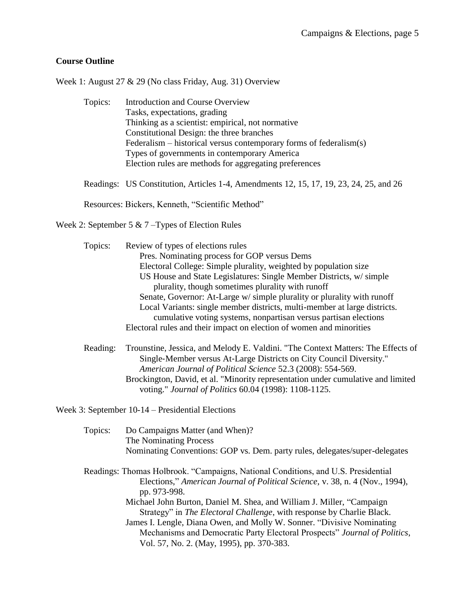## **Course Outline**

Week 1: August 27 & 29 (No class Friday, Aug. 31) Overview

| Topics: | Introduction and Course Overview                                      |
|---------|-----------------------------------------------------------------------|
|         | Tasks, expectations, grading                                          |
|         | Thinking as a scientist: empirical, not normative                     |
|         | Constitutional Design: the three branches                             |
|         | Federalism – historical versus contemporary forms of federalism $(s)$ |
|         | Types of governments in contemporary America                          |
|         | Election rules are methods for aggregating preferences                |
|         |                                                                       |

Readings: [US Constitution, Articles 1-4, Amendments 12, 15, 17, 19, 23, 24, 25, and 26](http://topics.law.cornell.edu/constitution)

Resources: Bickers, Kenneth, ["Scientific Method"](file:///C:/Users/Home%20Computer%20-%20Ken/Application%20Data/Microsoft/Excel/Scientific%20Method.pdf)

Week 2: September 5 & 7 –Types of Election Rules

Topics: Review of types of elections rules Pres. Nominating process for GOP versus Dems Electoral College: Simple plurality, weighted by population size US House and State Legislatures: Single Member Districts, w/ simple plurality, though sometimes plurality with runoff Senate, Governor: At-Large w/ simple plurality or plurality with runoff Local Variants: single member districts, multi-member at large districts. cumulative voting systems, nonpartisan versus partisan elections Electoral rules and their impact on election of women and minorities

Reading: Trounstine, Jessica, and Melody E. Valdini. "The Context Matters: The Effects of Single‐Member versus At‐Large Districts on City Council Diversity." *American Journal of Political Science* 52.3 (2008): 554-569. Brockington, David, et al. "Minority representation under cumulative and limited voting." *Journal of Politics* 60.04 (1998): 1108-1125.

Week 3: September 10-14 – Presidential Elections

| Topics: | Do Campaigns Matter (and When)?                                                   |
|---------|-----------------------------------------------------------------------------------|
|         | The Nominating Process                                                            |
|         | Nominating Conventions: GOP vs. Dem. party rules, delegates/super-delegates       |
|         | Readings: Thomas Holbrook. "Campaigns, National Conditions, and U.S. Presidential |
|         | Elections," American Journal of Political Science, v. 38, n. 4 (Nov., 1994),      |
|         | pp. 973-998.                                                                      |
|         | Michael John Burton, Daniel M. Shea, and William J. Miller, "Campaign             |
|         | Strategy" in <i>The Electoral Challenge</i> , with response by Charlie Black.     |
|         | James I. Lengle, Diana Owen, and Molly W. Sonner. "Divisive Nominating"           |
|         | Mechanisms and Democratic Party Electoral Prospects" Journal of Politics,         |
|         | Vol. 57, No. 2. (May, 1995), pp. 370-383.                                         |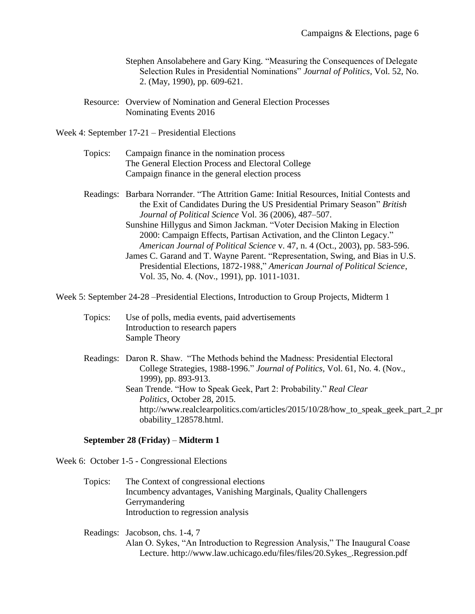- Stephen Ansolabehere and Gary King. "Measuring the Consequences of Delegate Selection Rules in Presidential Nominations" *Journal of Politics*, Vol. 52, No. 2. (May, 1990), pp. 609-621.
- Resource: [Overview of Nomination and General Election Processes](file:///C:/Users/Home%20Computer%20-%20Ken/Documents/FILES/Campaigns%20&%20Elections/Nominating%20versus%20General%20Election%20Process.pdf) [Nominating Events 2016](file:///C:/Users/Home%20Computer%20-%20Ken/Documents/FILES/Campaigns%20&%20Elections/Nominating%20Events%202008.doc)

Week 4: September 17-21 – Presidential Elections

| Topics: | Campaign finance in the nomination process         |
|---------|----------------------------------------------------|
|         | The General Election Process and Electoral College |
|         | Campaign finance in the general election process   |

- Readings: Barbara Norrander. "The Attrition Game: Initial Resources, Initial Contests and the Exit of Candidates During the US Presidential Primary Season" *British Journal of Political Science* Vol. 36 (2006), 487–507. Sunshine Hillygus and Simon Jackman. "Voter Decision Making in Election 2000: Campaign Effects, Partisan Activation, and the Clinton Legacy." *American Journal of Political Science* v. 47, n. 4 (Oct., 2003), pp. 583-596.
	- James C. Garand and T. Wayne Parent. "Representation, Swing, and Bias in U.S. Presidential Elections, 1872-1988," *American Journal of Political Science*, Vol. 35, No. 4. (Nov., 1991), pp. 1011-1031.

Week 5: September 24-28 –Presidential Elections, Introduction to Group Projects, Midterm 1

- Topics: Use of polls, media events, paid advertisements Introduction to research papers Sample Theory
- Readings: Daron R. Shaw. "The Methods behind the Madness: Presidential Electoral College Strategies, 1988-1996." *Journal of Politics,* Vol. 61, No. 4. (Nov., 1999), pp. 893-913. Sean Trende. "How to Speak Geek, Part 2: Probability." *Real Clear Politics*, October 28, 2015. [http://www.realclearpolitics.com/articles/2015/10/28/how\\_to\\_speak\\_geek\\_part\\_2\\_pr](http://www.realclearpolitics.com/articles/2015/10/28/how_to_speak_geek_part_2_probability_128578.html) [obability\\_128578.html.](http://www.realclearpolitics.com/articles/2015/10/28/how_to_speak_geek_part_2_probability_128578.html)

### **September 28 (Friday)** – **Midterm 1**

Week 6: October 1-5 - Congressional Elections

Topics: The Context of congressional elections Incumbency advantages, Vanishing Marginals, Quality Challengers Gerrymandering Introduction to regression analysis

Readings: Jacobson, chs. 1-4, 7 Alan O. Sykes, "An Introduction to Regression Analysis," The Inaugural Coase Lecture. http://www.law.uchicago.edu/files/files/20.Sykes\_.Regression.pdf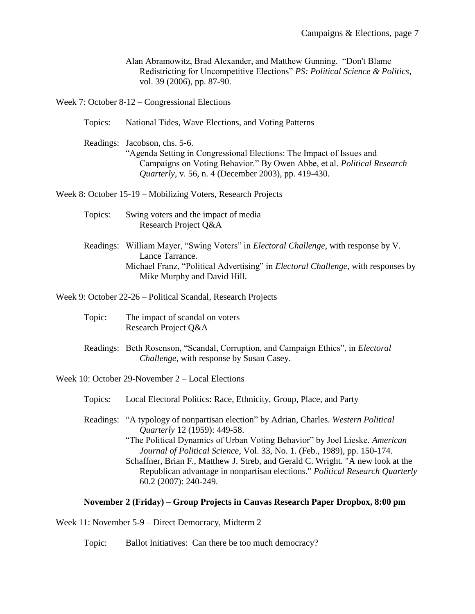Alan Abramowitz, Brad Alexander, and Matthew Gunning. "Don't Blame Redistricting for Uncompetitive Elections" *PS: Political Science & Politics*, vol. 39 (2006), pp. 87-90.

Week 7: October 8-12 – Congressional Elections

Topics: National Tides, Wave Elections, and Voting Patterns

Readings: Jacobson, chs. 5-6. "Agenda Setting in Congressional Elections: The Impact of Issues and Campaigns on Voting Behavior." By Owen Abbe, et al. *Political Research Quarterly*, v. 56, n. 4 (December 2003), pp. 419-430.

Week 8: October 15-19 – Mobilizing Voters, Research Projects

- Topics: Swing voters and the impact of media Research Project Q&A
- Readings: William Mayer, "Swing Voters" in *Electoral Challenge*, with response by V. Lance Tarrance. Michael Franz, "Political Advertising" in *Electoral Challenge,* with responses by Mike Murphy and David Hill.

Week 9: October 22-26 – Political Scandal, Research Projects

- Topic: The impact of scandal on voters Research Project Q&A
- Readings: Beth Rosenson, "Scandal, Corruption, and Campaign Ethics", in *Electoral Challenge*, with response by Susan Casey.

Week 10: October 29-November 2 – Local Elections

Topics: Local Electoral Politics: Race, Ethnicity, Group, Place, and Party

Readings: "A typology of nonpartisan election" by Adrian, Charles. *Western Political Quarterly* 12 (1959): 449-58. "The Political Dynamics of Urban Voting Behavior" by Joel Lieske. *American Journal of Political Science*, Vol. 33, No. 1. (Feb., 1989), pp. 150-174. Schaffner, Brian F., Matthew J. Streb, and Gerald C. Wright. "A new look at the Republican advantage in nonpartisan elections." *Political Research Quarterly* 60.2 (2007): 240-249.

#### **November 2 (Friday) – Group Projects in Canvas Research Paper Dropbox, 8:00 pm**

Week 11: November 5-9 – Direct Democracy, Midterm 2

Topic: Ballot Initiatives: Can there be too much democracy?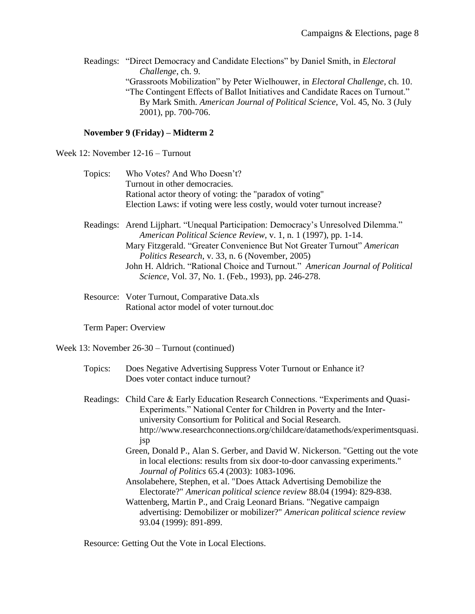Readings: "Direct Democracy and Candidate Elections" by Daniel Smith, in *Electoral Challenge*, ch. 9. "Grassroots Mobilization" by Peter Wielhouwer, in *Electoral Challenge*, ch. 10. "The Contingent Effects of Ballot Initiatives and Candidate Races on Turnout." By Mark Smith. *American Journal of Political Science,* Vol. 45, No. 3 (July 2001), pp. 700-706.

## **November 9 (Friday) – Midterm 2**

Week 12: November 12-16 – Turnout

| Topics: | Who Votes? And Who Doesn't?                                              |
|---------|--------------------------------------------------------------------------|
|         | Turnout in other democracies.                                            |
|         | Rational actor theory of voting: the "paradox of voting"                 |
|         | Election Laws: if voting were less costly, would voter turnout increase? |
|         |                                                                          |

Readings: Arend Lijphart. "Unequal Participation: Democracy's Unresolved Dilemma." *American Political Science Review*, v. 1, n. 1 (1997), pp. 1-14. Mary Fitzgerald. ["Greater Convenience But Not Greater Turnout"](file:///C:/Users/Home%20Computer%20-%20Ken/Documents/FILES/Campaigns%20&%20Elections/Fitzgerald,%20convenience%20not%20turnout%20(2005).pdf) *American Politics Research*[, v. 33, n. 6 \(November, 2005\)](file:///C:/Users/Home%20Computer%20-%20Ken/Documents/FILES/Campaigns%20&%20Elections/Fitzgerald,%20convenience%20not%20turnout%20(2005).pdf) John H. Aldrich. "Rational Choice and Turnout." *American Journal of Political Science*, Vol. 37, No. 1. (Feb., 1993), pp. 246-278.

Resource: [Voter Turnout, Comparative Data.xls](file:///C:/Users/Home%20Computer%20-%20Ken/Documents/FILES/Campaigns%20&%20Elections/Voter%20Turnout,%20Comparative%20Data.xls) [Rational actor model of voter turnout.doc](file:///C:/Users/Home%20Computer%20-%20Ken/Documents/FILES/Campaigns%20&%20Elections/Rational%20actor%20model%20of%20voter%20turnout.doc)

Term Paper: Overview

Week 13: November 26-30 – Turnout (continued)

- Topics: Does Negative Advertising Suppress Voter Turnout or Enhance it? Does voter contact induce turnout?
- Readings: Child Care & Early Education Research Connections. "Experiments and Quasi-Experiments." National Center for Children in Poverty and the Interuniversity Consortium for Political and Social Research. http://www.researchconnections.org/childcare/datamethods/experimentsquasi. jsp
	- Green, Donald P., Alan S. Gerber, and David W. Nickerson. "Getting out the vote in local elections: results from six door-to-door canvassing experiments." *Journal of Politics* 65.4 (2003): 1083-1096.
	- Ansolabehere, Stephen, et al. "Does Attack Advertising Demobilize the Electorate?" *American political science review* 88.04 (1994): 829-838.
	- Wattenberg, Martin P., and Craig Leonard Brians. "Negative campaign advertising: Demobilizer or mobilizer?" *American political science review* 93.04 (1999): 891-899.

Resource: [Getting Out the Vote in Local Elections.](file:///C:/Users/Home%20Computer%20-%20Ken/Documents/FILES/Campaigns%20&%20Elections/Getting%20Out%20the%20Vote%20in%20Local%20Elections.pdf)